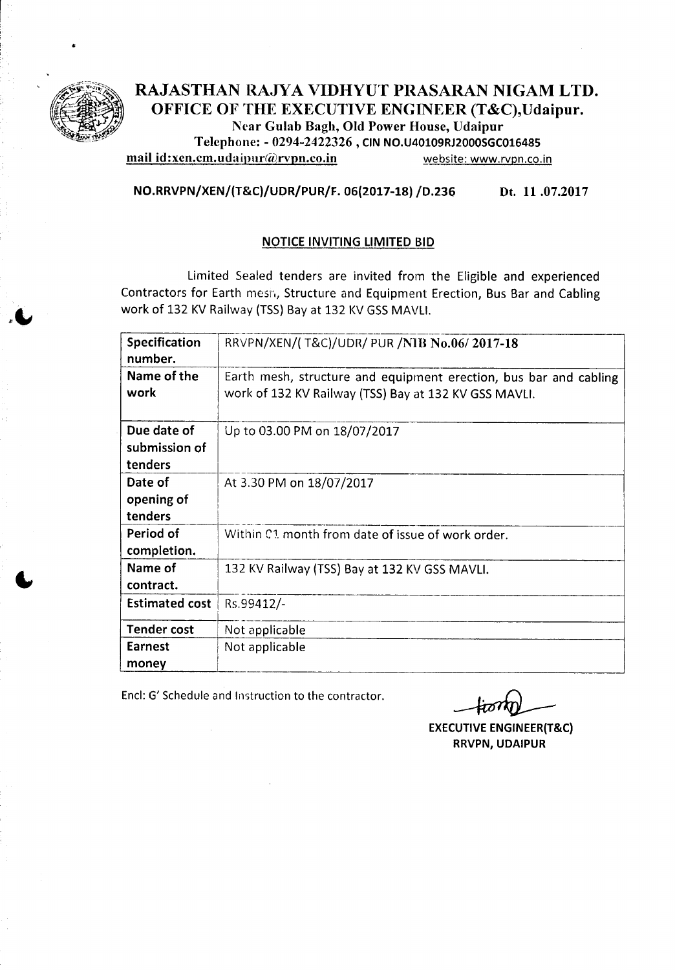

### RAJASTHAN RAJYA VIDHYUT PRASARAN NIGAM LTD. OFFICE OF THE EXECUTIVE ENGINEER (T&C), Udaipur. Ncar Gulab Bagh, Old Power House, Udaipur Telephone: - 0294-2422326, CIN NO.U40109RJ2000SGC016485

mail id: xen.cm. udaipur@rvpn.co.in website: www.rvpn.co.in

NO.RRVPN/XEN/(T&C}/UOR/PUR/F. 06(2017-18)/0.236 Dt. 11 .07.2017

### NOTICE INVITING LIMITED BID

Limited Sealed tenders are invited from the Eligible and experienced Contractors for Earth mesh, Structure and Equipment Erection, Bus Bar and Cabling work of 132 KV Railway (TSS) Bay at 132 KV GSS MAVLI.

| Specification<br>number. | RRVPN/XEN/(T&C)/UDR/ PUR /NIB No.06/2017-18                                                                                |
|--------------------------|----------------------------------------------------------------------------------------------------------------------------|
| Name of the<br>work      | Earth mesh, structure and equipment erection, bus bar and cabling<br>work of 132 KV Railway (TSS) Bay at 132 KV GSS MAVLI. |
| Due date of              | Up to 03.00 PM on 18/07/2017                                                                                               |
| submission of            |                                                                                                                            |
| tenders                  |                                                                                                                            |
| Date of                  | At 3.30 PM on 18/07/2017                                                                                                   |
| opening of               |                                                                                                                            |
| tenders                  |                                                                                                                            |
| Period of                | Within C1 month from date of issue of work order.                                                                          |
| completion.              |                                                                                                                            |
| Name of                  | 132 KV Railway (TSS) Bay at 132 KV GSS MAVLI.                                                                              |
| contract.                |                                                                                                                            |
| <b>Estimated cost</b>    | Rs.99412/-                                                                                                                 |
| <b>Tender cost</b>       | Not applicable                                                                                                             |
| Earnest                  | Not applicable                                                                                                             |
| money                    |                                                                                                                            |

Encl: G' Schedule and Instruction to the contractor.

EXECUTIVE ENGINEER(T&C) RRVPN, UDAIPUR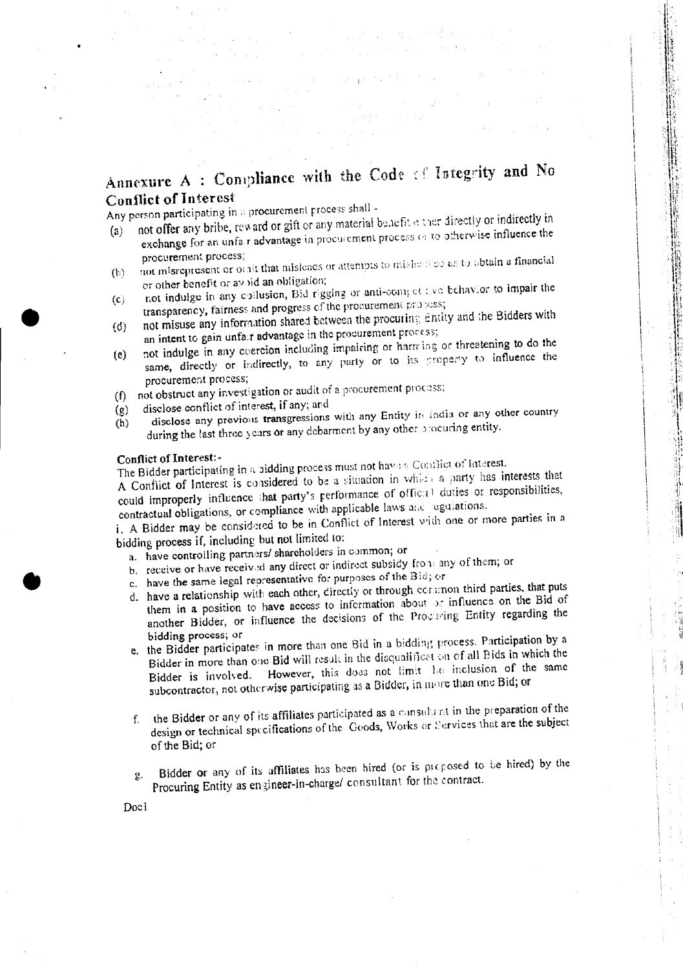# Annexure A : Compliance with the Code of Integrity and No **Conflict of Interest**

in 193

 $(3 - 1)$  and  $(3 - 1)$ 

"我们是我的

Any person participating in a procurement process shall -

- not offer any bribe, reward or gift or any material benefit e ther directly or indirectly in exchange for an unfair advantage in procurement process or to otherwise influence the  $(a)$ procurement process;
- not misrepresent or othit that misleads or attempts to mislead so as to obtain a financial  $(h)$ or other benefit or avoid an obligation;
- not indulge in any collusion, Bid rigging or anti-compet two behavior to impair the  $(c)$ transparency, fairness and progress of the procurement proposes;
- not misuse any information shared between the procuring Entity and the Bidders with  $(d)$ an intent to gain unfair advantage in the procurement process;
- not indulge in any coercion including impairing or harming or threatening to do the same, directly or indirectly, to any party or to its property to influence the  $(e)$ procurement process;
- (f) not obstruct any investigation or audit of a procurement process;
- disclose conflict of interest, if any; and  $(g)$
- disclose any previous transgressions with any Entity in India or any other country during the last three years or any debarment by any other procuring entity.  $(h)$

### Conflict of Interest:-

The Bidder participating in a bidding process must not have a Conflict of Interest.

A Conflict of Interest is considered to be a situation in which a party has interests that could improperly influence that party's performance of official duties or responsibilities, contractual obligations, or compliance with applicable laws and regulations.

i. A Bidder may be considered to be in Conflict of Interest with one or more parties in a bidding process if, including but not limited to:

a. have controlling partners/ shareholders in common; or

- b. receive or have received any direct or indirect subsidy from any of them; or
- c. have the same legal representative for purposes of the Bid; or
- d. have a relationship with each other, directly or through common third parties, that puts
- them in a position to have access to information about or influence on the Bid of another Bidder, or influence the decisions of the Procuring Entity regarding the bidding process; or
- e. the Bidder participates in more than one Bid in a bidding process. Participation by a Bidder in more than one Bid will result in the disqualification of all Bids in which the Bidder is involved. However, this does not limit he inclusion of the same subcontractor, not otherwise participating as a Bidder, in more than one Bid; or
- the Bidder or any of its affiliates participated as a consultant in the preparation of the design or technical specifications of the Goods, Works or Services that are the subject  $f_{\perp}$ of the Bid; or
- Bidder or any of its affiliates has been hired (or is proposed to be hired) by the  $\mathbf{2}$ . Procuring Entity as engineer-in-charge/ consultant for the contract.

Docl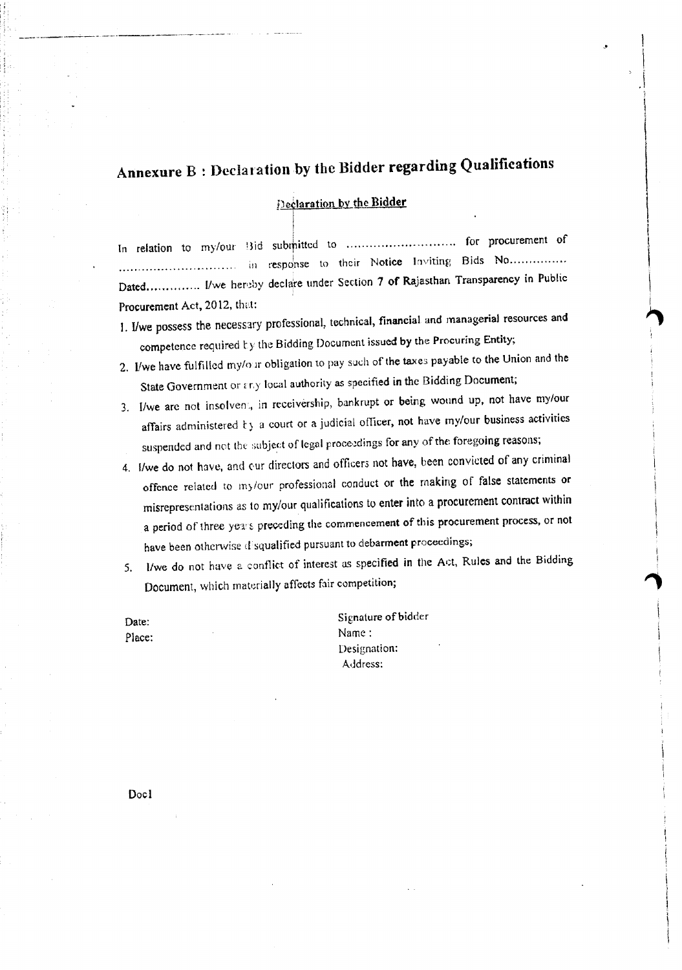# Annexure B : Declaration by the Bidder regarding Qualifications

.1

1  $\ddot{\phantom{0}}$ 

 $\overline{\phantom{a}}$ 

<u>In de la Para</u> I I I

> \ I

**"**<br>|

Declaration by the Bidder

I

In relation to my/our  $B$ id submitted to  $\dots\dots\dots\dots\dots\dots\dots$  for procurement of ................... in response to their Notice Inviting Bids No . Dated.............. I/we hereby declare under Section 7 of Rajasthan Transparency in Public Procurement Act, 2012, that:

- 1. I/we possess the necessary professional, technical, financial and managerial resources and competence required ty the Bidding Document issued by the Procuring Entity;
- 2. I/we have fulfilled my/our obligation to pay such of the taxes payable to the Union and the State Government or  $\epsilon$ r.y local authority as specified in the Bidding Document;
- 3. I/we are not insolvent, in receivership, bankrupt or being wound up, not have my/our affairs administered ty a court or a judicial officer, not have my/our business activities suspended and not the subject of legal proceedings for any of the foregoing reasons;
- 4. I/we do not have, and our directors and officers not have, been convicted of any criminal offence related to my/our professional conduct or the making of false statements or misrepresentations as to my/our qualifications to enter into a procurement contract within a period of three years preceding the commencement of this procurement process, or not have been otherwise d'squalified pursuant to debarment proceedings;
- 5. l/we do not have a conflict of interest as specified in the Act, Rules and the Bidding Document, which materially affects fair competition;

Date: Place:

----,------,-,-- ..-".•--,--.- ..---..~.---.•.'.---

Signature of bidder Name: Designation: Address:

Docl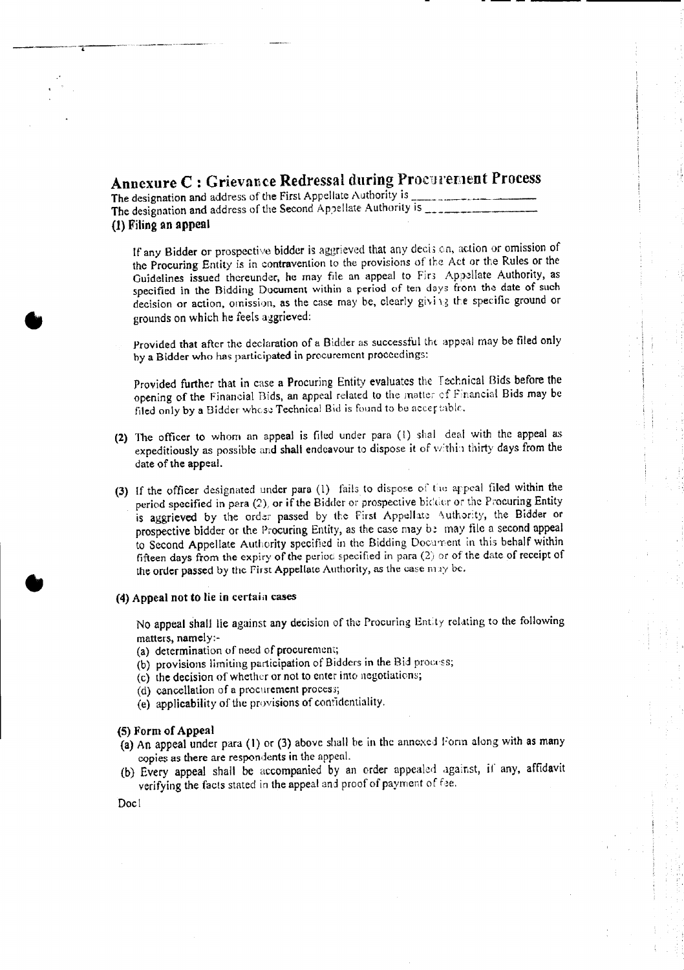## Annexure C : Grievance Redressal during Procurement Process

- -- ----- --------

The designation and address of the First Appellate Authority is . The designation and address of the Second Appellate Authority is \_ (1) Filing an appeal

If any Bidder or prospective bidder is aggrieved that any decis en, action or omission of the Procuring Entity is in contravention to the provisions of the Act or the Rules or the Guidelines issued thereunder, he may file an appeal to Fir; Appellate Authority, as specified in the Bidding Document within a period of ten days from the date of such decision or action, omission, as the case may be, clearly giving the specific ground or grounds on which he feels aggrieved:

Provided that after the declaration of a Bidder as successful the appeal may be filed only by a Bidder who has participated in procurement proceedings:

Provided further that in case a Procuring Entity evaluates the Fechnical Bids before the opening of the Financial Bids, an appeal related to the matter cf Financial Bids may be filed only by a Bidder whose Technical Bid is found to be acceptable.

- (2) The officer to whom an appeal is filed under para (1) shal deal with the appeal as expeditiously as possible and shall endeavour to dispose it of within thirty days from the date of the appeal.
- (3) If the officer designated under para (1) fails to dispose of the appeal filed within the period specified in para (2), or if the Bidder or prospective bidder or the Procuring Entity is aggrieved by the order passed by the First Appellate Authority, the Bidder or prospective bidder or the Procuring Entity, as the case may be may file a second appeal to Second Appellate Authority specified in the Bidding Document in this behalf within fifteen days from the expiry of the period specified in para (2) or of the date of receipt of the order passed by the First Appellate Authority, as the case  $\max y$  be.

#### (4) Appeal not to lie in certain cases

No appeal shall lie against any decision of the Procuring Entity relating to the following matters, namely:-

- (a) determination of need of procurement;
- (b) provisions limiting participation of Bidders in the Bid process;
- (c) the decision of whether or not to enter into negotiations;
- (d) cancellation of a procurement process;
- (e) applicability of the provisions of confidentiality.

#### (5) Form of Appeal

- (a) An appeal under para (I) or (3) above shall be in the annexed Form along with as many copies as there are respondents in the appeal.
- (b) Every appeal shall be accompanied by an order appealed against, if any, affidavit verifying the facts stated in the appeal and proof of payment of fee.

Doc I

**•** 

•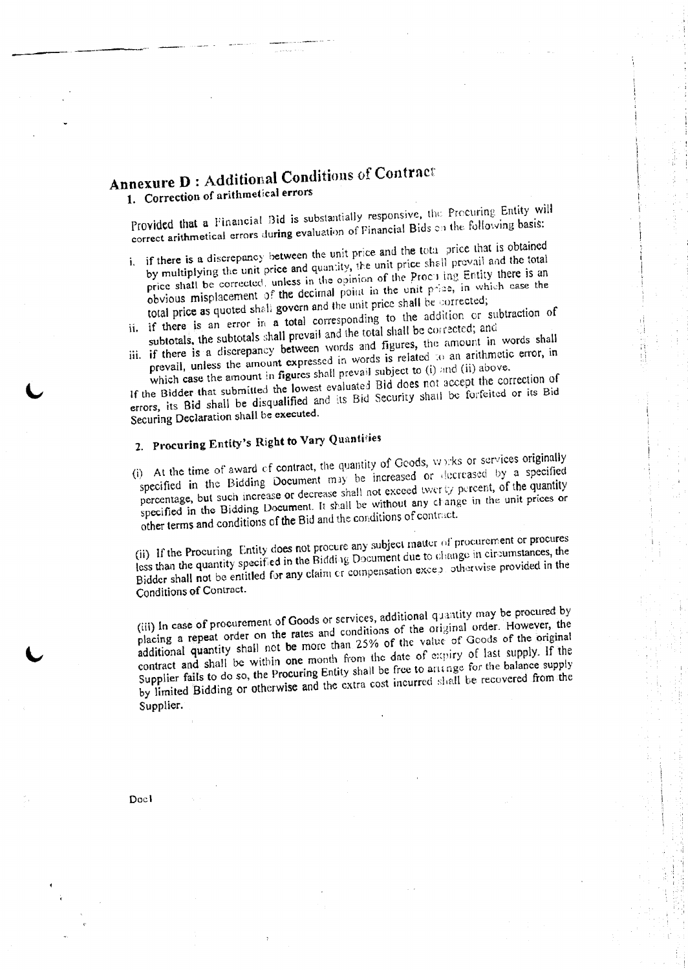## Annexure D : Additional Conditions of Contract 1. Correction of arithmetical errors

Provided that a Financial Bid is substantially responsive, the Procuring Entity will correct arithmetical errors during evaluation of Financial Bids on the following basis:

- i. if there is a discrepancy between the unit price and the tota price that is obtained by multiplying the unit price and quantity, the unit price shell prevail and the total price shall be corrected, unless in the opinion of the Proc.i ing Entity there is an obvious misplacement of the decimal point in the unit price, in which case the total price as quoted shall govern and the unit price shall be corrected;
- ii. if there is an error in a total corresponding to the addition or subtraction of subtotals. the subtotals shall prevail and the total shall be corrected; and
- iii. if there is <sup>a</sup> discrepancy between words and figures, the amount in words shall prevail, unless the amount expressed in words is related ;0 an arithmetic error, in

which case the amount in figures shall prevail subject to (i) and (ii) above. If the Bidder that submitled the lowest evaluated Bid does not accept the correction of errors, its Bid shall be disqualified and its Bid Security shall be forfeited or its Bid Securing Declaration shall be executed.

# 2. Procuring Entity's Right to Vary Quantities

(i) At the time of award of contract, the quantity of Goods, *vt :* ·ks or services originally specified in the Bidding Document may be increased or decreased by a specified percentage, but such increase or decrease shall not exceed twer Ly percent, of the quantity specified in the Bidding Document. It shall be without any clange in the unit prices or other terms and conditions of the Bid and the conditions of contract.

(ii) If the Procuring Entity does not procure any subject matter of procurement or procures less than the quantity specified in the Bidding Document due to change in circumstances, the Bidder shall not be entitled for any claim or compensation except otherwise provided in the Conditions of Contract.

(iii) In case of procurement of Goods or services, additional quantity may be procured by placing a repeat order on the rates and conditions of the original order. However, the additional quantity shall not be more than 25% of the value of Goods of the original contract and shall be within one month from the date of expiry of last supply. If the Supplier fails to do so, the Procuring Entity shall be free to antinge for the balance supply by limited Bidding or otherwise and the extra cost incurred shall be recovered from the Supplier.

Doc l

----"-"

,---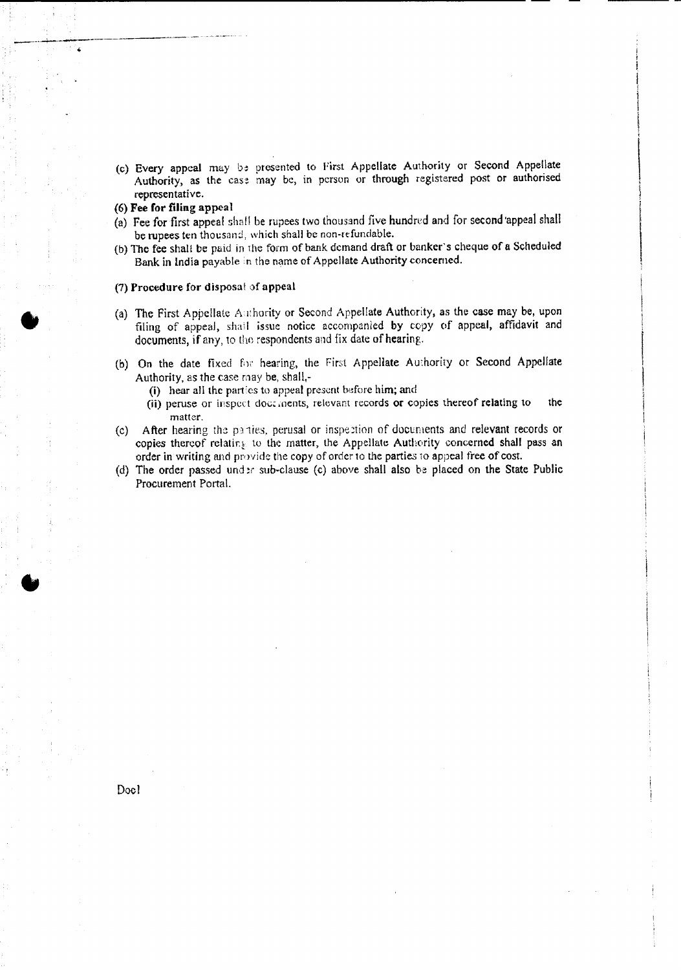(c) Every appeal may be presented to First Appellate Authority or Second Appellate Authority, as the case may be, in person or through registered post or authorised representative.

#### (6) Fee for filing appeal

;,...\_\_-- ..........\_\_.-~---'--------'.-----.-

•

•

- (a) Fee for first appeal shall be rupees two thousand five hundred and for second 'appeal shall be rupees ten thousand, which shall be non-refundable.
- (b) The fee shal: be paid in rhe form of bank.demand draft or banker's cheque of a Scheduled Bank in India payable in the name of Appellate Authority concerned.

#### (7) Procedure for disposal of appeal

- (a) The First Appellate Authority or Second Appellate Authority, as the case may be, upon filing of appeal, shall issue notice accompanied by ropy of appeal, affidavit and documents, if any, to the respondents and fix date of hearing.
- (b) On the date fixed for hearing, the First Appellate Authority or Second Appellate Authority, as the case may be, shall-
	- (i) hear all the parties to appeal present before him; and
	- (ii) peruse or inspect doc. .nents, relevant records or copies thereof relating to the matter.
- (c) After hearing the PJ 1ies. perusal or inspe ction of documents and relevant records or copies thereof relating to the matter, the Appellate Authority concerned shall pass an order in writing and provide the copy of order to the parties to appeal free of cost,
- (d) The order passed under sub-clause (c) above shall also be placed on the State Public Procurement Portal.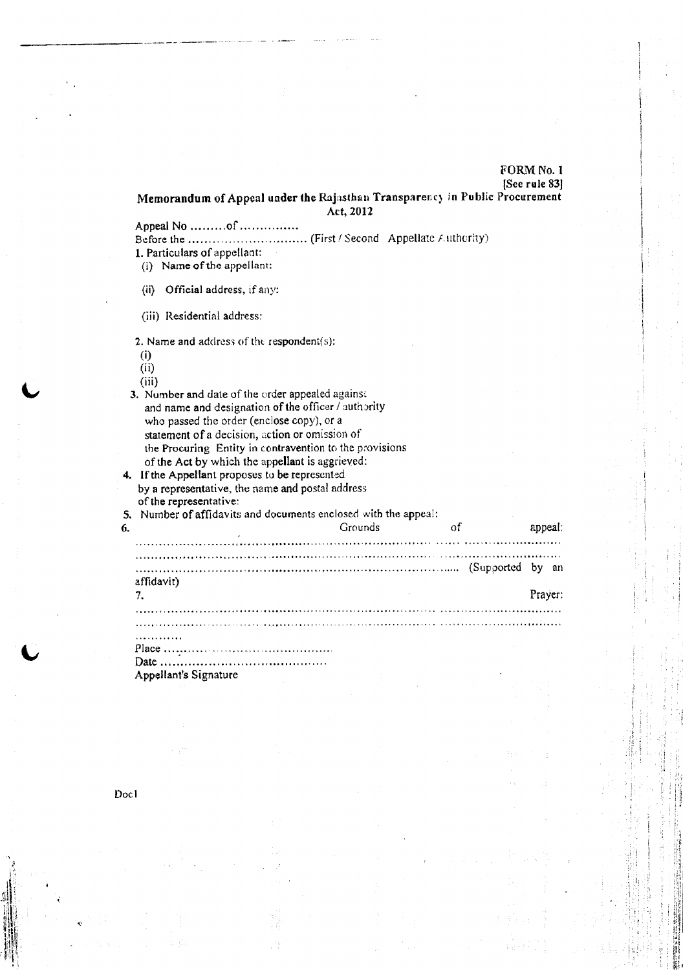### FORM No. 1 [Sec rule 83J

Memorandum of Appeal under the Rajusthan Transparency in Public Procurement Act, 2012

Appeal  $No$  ......... $of$  .................

Before the (First ' Second Appellate *f.*uthority) 1. Particulars of appellant:

(i) Name of the appellant:

(ii) Official address, if any:

(iii) Residential address:

2. Name and address of the respondent $(s)$ :

(i)

--------------- ------

(ii)

(iii)

3. Number and dale of the order appealed against and name and designation of the officer *<sup>J</sup>* authority who passed the order (enclose copy), or a statement of a decision, action or omission of the Procuring Entity in contravention to the provisions of the Act by which the appellant is aggrieved:

4. If the Appellant proposes to be represented by a representative, the name and postal address of the representative:

5. Number of affidavits and documents enclosed with the appeal: ............ <sup>~</sup> <sup>~</sup> , , ,. , ,............ ... ,. . 6. Grounds of appeal: Grounds of appeal: ...: , ,. ,...,. , , ... ., ~.. '" ..,. " ,. ,. , ........................... ' \_.......... . (Supported by an affidavit) 7. Prayer: The contract of the contract of the contract of the contract of the contract of the contract of the contract of the contract of the contract of the contract of the contract of the contract of the contract of the 

. . . . . . . . . . . . Place .

Date : . Appellant's Signature

",'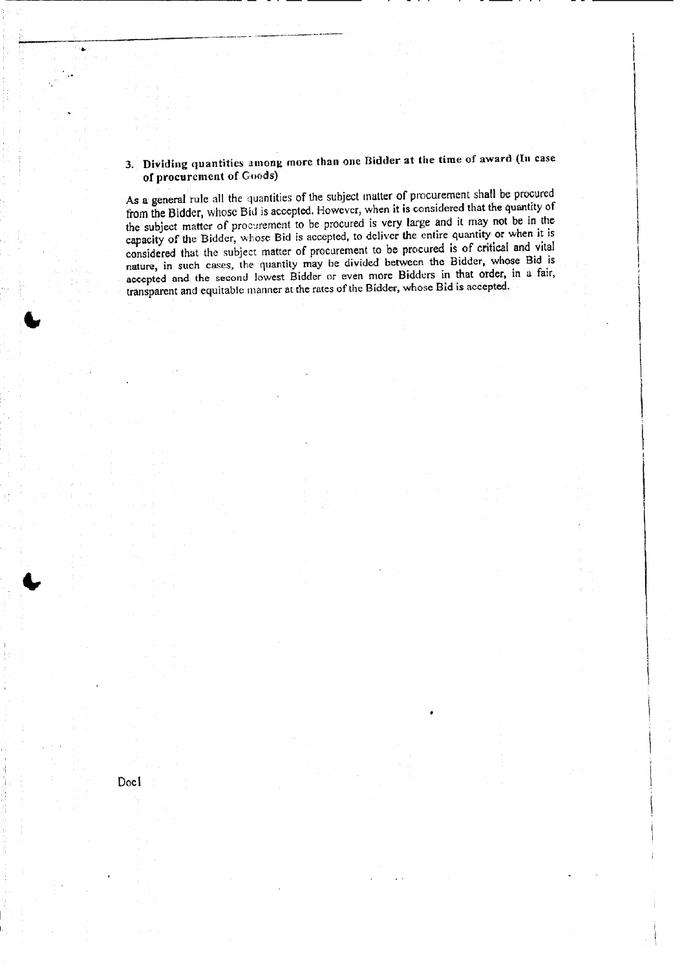### 3. Dividing quantities among more than one Bidder at the time of award (In case of procurement of Goods)

------------------------------------- - \_. -- --------

~,------~-----------------

As a general rule all the quantities of the subject matter of procurement shall be procured from the Bidder, whose Bid is accepted. However, when it is considered that the quantity of the subject matter of procurement to be procured is very large and it may not be in the capacity of the Bidder, whose Bid is accepted. to deliver the entire quantity or when it is considered that the subject matter of procurement to be procured is of critical and vital nature, in such cases, the quantity may be divided between the Bidder, whose Bid is accepted and. the second lowest Bidder or even more Bidders in that order, in a fair, transparent and equitable manner at the rates of the Bidder,whose Bid is accepted.

Docl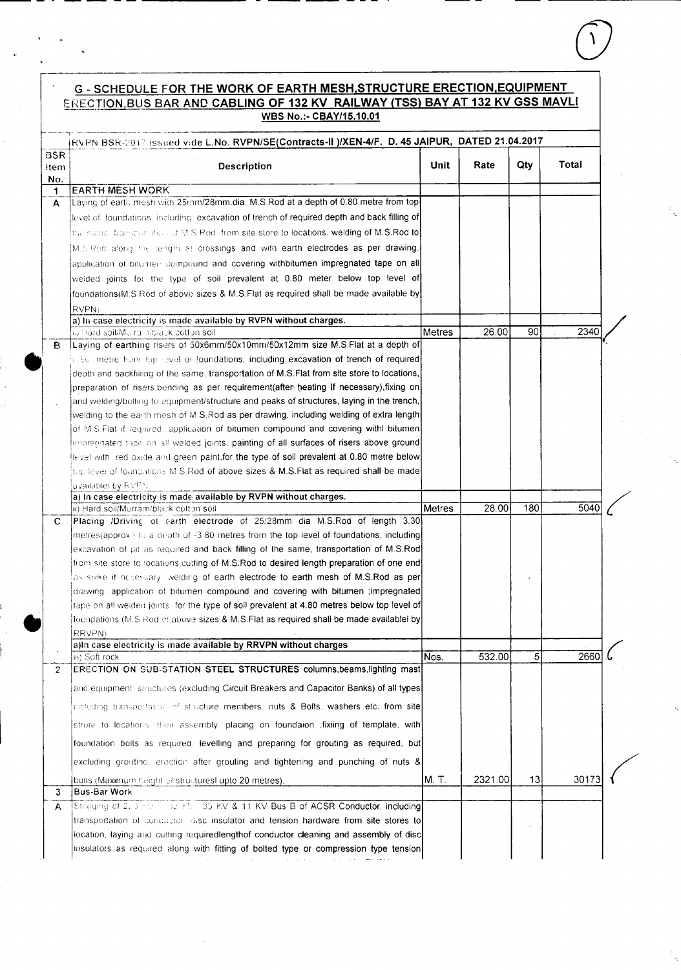### **G - SCHEDULE FOR THE WORK OF EARTH MESH, STRUCTURE ERECTION, EQUIPMENT** ERECTION, BUS BAR AND CABLING OF 132 KV RAILWAY (TSS) BAY AT 132 KV GSS MAVLI WBS No.:- CBAY/15.10.01

| <b>BSR</b><br>Unit<br>Description                                                                                                                                                  |         | [RVPN BSR-2017 issued vide L.No. RVPN/SE(Contracts-II_)/XEN-4/F.D. 45 JAIPUR,DATED 21.04.2017 |             |  |  |  |
|------------------------------------------------------------------------------------------------------------------------------------------------------------------------------------|---------|-----------------------------------------------------------------------------------------------|-------------|--|--|--|
| ltem.<br>No.                                                                                                                                                                       | Rate    | Qty                                                                                           | Total       |  |  |  |
| <b>EARTH MESH WORK</b><br>$\mathbf 1$                                                                                                                                              |         |                                                                                               |             |  |  |  |
| Laying of earth mesh with 25 nm/28 mm.dia. M.S.Rod at a depth of 0.80 metre from top<br>A                                                                                          |         |                                                                                               |             |  |  |  |
| level of foundations, including excavation of trench of required depth and back filling of                                                                                         |         |                                                                                               |             |  |  |  |
| [the came-harsperature] of M S Rod, from site store to locations, welding of M.S.Rod to[                                                                                           |         |                                                                                               |             |  |  |  |
| M.S Rod along the length at crossings and with earth electrodes as per drawing,                                                                                                    |         |                                                                                               |             |  |  |  |
| application of bitumers compound and covering withbitumen impregnated tape on all                                                                                                  |         |                                                                                               |             |  |  |  |
| welded joints for the type of soil prevalent at 0.80 meter below top level of                                                                                                      |         |                                                                                               |             |  |  |  |
| foundations (M.S Rod of above sizes & M.S.Flat as required shall be made available by                                                                                              |         |                                                                                               |             |  |  |  |
|                                                                                                                                                                                    |         |                                                                                               |             |  |  |  |
| RVPN)<br>a) In case electricity is made available by RVPN without charges.                                                                                                         |         |                                                                                               |             |  |  |  |
| Metres<br>ii) Hard soil/Murtan: black cotton soil                                                                                                                                  | 26.00   | 90                                                                                            | <b>2340</b> |  |  |  |
| Laying of earthing risers of 50x6mm/50x10mm/50x12mm size M.S.Flat at a depth of<br>8                                                                                               |         |                                                                                               |             |  |  |  |
| it 50 metre from top level of foundations, including excavation of trench of required                                                                                              |         |                                                                                               |             |  |  |  |
| depth and backfilling of the same, transportation of M.S.Flat from site store to locations,                                                                                        |         |                                                                                               |             |  |  |  |
| preparation of risers, bending as per requirement (after heating if necessary), fixing on                                                                                          |         |                                                                                               |             |  |  |  |
| and welding/bolting to equipment/structure and peaks of structures, laying in the trench,                                                                                          |         |                                                                                               |             |  |  |  |
| welding to the earth mesh of M.S.Rod as per drawing, including welding of extra length                                                                                             |         |                                                                                               |             |  |  |  |
| of M.S. Flat if required, application of bitumen compound and covering with bitumen                                                                                                |         |                                                                                               |             |  |  |  |
| limpreemated tape on all welded joints, painting of all surfaces of risers above ground                                                                                            |         |                                                                                               |             |  |  |  |
| Hevel with lied oxide and green paint, for the type of soil prevalent at 0.80 metre below                                                                                          |         |                                                                                               |             |  |  |  |
| $\{ \text{tog} \text{ level of foundations} \}$ M S.Rod of above sizes & M.S.Flat as required shall be made                                                                        |         |                                                                                               |             |  |  |  |
| availablel by RVPN                                                                                                                                                                 |         |                                                                                               |             |  |  |  |
| a) In case electricity is made available by RVPN without charges.                                                                                                                  |         |                                                                                               |             |  |  |  |
| ii) Hard soil/Murram/black cotton soil<br>Metres                                                                                                                                   | 28.00   | 180                                                                                           | 5040        |  |  |  |
| Placing /Driving of earth electrode of 25/28mm dia M.S.Rod of length 3.30<br>С                                                                                                     |         |                                                                                               |             |  |  |  |
| $[$ metres(approx) to a death of -3.80 metres from the top level of foundations, including                                                                                         |         |                                                                                               |             |  |  |  |
| [excavation of pit as required and back filling of the same, transportation of M.S.Rod]                                                                                            |         |                                                                                               |             |  |  |  |
| from site store to locations cutting of M.S.Rod to desired length preparation of one end                                                                                           |         |                                                                                               |             |  |  |  |
| as soke if necessary welding of earth electrode to earth mesh of M.S.Rod as per                                                                                                    |         |                                                                                               |             |  |  |  |
| drawing, application of bitumen compound and covering with bitumen ;impregnated                                                                                                    |         |                                                                                               |             |  |  |  |
| tape on all welded joints, for the type of soil prevalent at 4.80 metres below top level of                                                                                        |         |                                                                                               |             |  |  |  |
| Toundations (M.S.Rod or above sizes & M.S.Flat as required shall be made availablel by                                                                                             |         |                                                                                               |             |  |  |  |
| RRVPN)                                                                                                                                                                             |         |                                                                                               |             |  |  |  |
| alln case electricity is made available by RRVPN without charges                                                                                                                   |         |                                                                                               |             |  |  |  |
| Nos.<br>iii) Soft rock                                                                                                                                                             | 532.00  | 5                                                                                             | 2660        |  |  |  |
| ERECTION ON SUB-STATION STEEL STRUCTURES columns, beams, lighting mast<br>$\overline{2}$<br>and equipment structures (excluding Circuit Breakers and Capacitor Banks) of all types |         |                                                                                               |             |  |  |  |
|                                                                                                                                                                                    |         |                                                                                               |             |  |  |  |
| including transportation of structure members, nuts & Bolts, washers etc. from site                                                                                                |         |                                                                                               |             |  |  |  |
| strore to locations their assembly, placing on foundaion fixiing of template, with                                                                                                 |         |                                                                                               |             |  |  |  |
| foundation bolts as required. levelling and preparing for grouting as required, but<br>excluding grouting, erection after grouting and tightening and punching of nuts &           |         |                                                                                               |             |  |  |  |
| M. T.                                                                                                                                                                              | 2321.00 | 13                                                                                            | 30173       |  |  |  |
| bolts (Maximum height of structures) upto 20 metres).                                                                                                                              |         |                                                                                               |             |  |  |  |
| <b>Bus-Bar Work</b><br>3                                                                                                                                                           |         |                                                                                               |             |  |  |  |
| Straging of 2.0 + Y = 32 FA 33 KV & 11 KV Bus B of ACSR Conductor, including<br>A                                                                                                  |         |                                                                                               |             |  |  |  |
| transportation of conductor disc insulator and tension hardware from site stores to                                                                                                |         |                                                                                               |             |  |  |  |
| location, laying and cutting requiredlengthof conductor cleaning and assembly of disc                                                                                              |         |                                                                                               |             |  |  |  |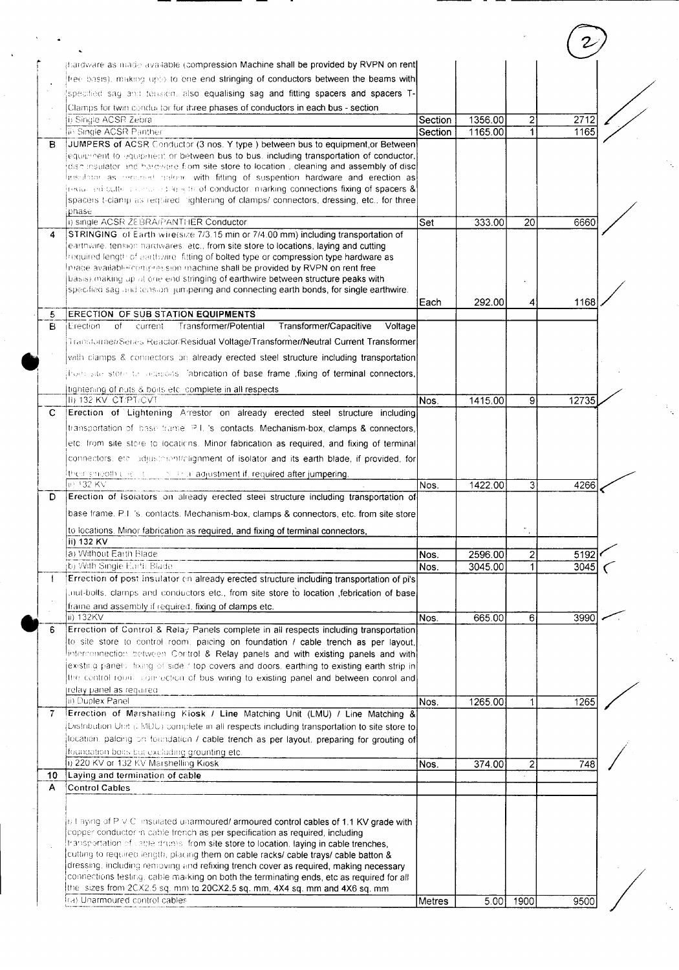|    | phardware as made available (compression Machine shall be provided by RVPN on rent)                                                                                              |         |         |                |       |  |
|----|----------------------------------------------------------------------------------------------------------------------------------------------------------------------------------|---------|---------|----------------|-------|--|
|    | free basis), making upto to one end stringing of conductors between the beams with                                                                                               |         |         |                |       |  |
|    | specified say and tension, also equalising sag and fitting spacers and spacers T-                                                                                                |         |         |                |       |  |
|    | Clamps for twin conductor for three phases of conductors in each bus - section                                                                                                   |         |         |                |       |  |
|    | i) Single ACSR Zebra                                                                                                                                                             | Section | 1356.00 | 2              | 2712  |  |
|    | <b>In Single ACSR Panther</b>                                                                                                                                                    | Section | 1165.00 | 1              | 1165  |  |
| B  | JUMPERS of ACSR Conductor (3 nos. Y type ) between bus to equipment,or Between<br>lequipment to equipment or between bus to bus, including transportation of conductor,          |         |         |                |       |  |
|    | idisc insulator and hardware from site store to location, cleaning and assembly of disc                                                                                          |         |         |                |       |  |
|    | insidiant as requrient palone with fitting of suspention hardware and erection as                                                                                                |         |         |                |       |  |
|    | hequined cutters centered to with of conductor, marking connections fixing of spacers &                                                                                          |         |         |                |       |  |
|    | spacers t-clamp as required cightening of clamps/connectors, dressing, etc., for three                                                                                           |         |         |                |       |  |
|    | phase<br>i) single ACSR ZEBRA/PANTHER Conductor                                                                                                                                  | Set     | 333.00  | 20             | 6660  |  |
| 4  | STRINGING of Earth wire(size 7/3.15 min or 7/4.00 mm) including transportation of                                                                                                |         |         |                |       |  |
|    | earthwire, tension hardwares, etc., from site store to locations, laying and cutting                                                                                             |         |         |                |       |  |
|    | required length of earthwire fitting of bolted type or compression type hardware as                                                                                              |         |         |                |       |  |
|    | Imade available congression machine shall be provided by RVPN on rent free<br>basis) making up at one end stringing of earthwire between structure peaks with                    |         |         |                |       |  |
|    | specified sag and tension jumpering and connecting earth bonds, for single earthwire.                                                                                            |         |         |                |       |  |
|    |                                                                                                                                                                                  | Each    | 292.00  |                | 1168  |  |
| 5  | <b>ERECTION OF SUB STATION EQUIPMENTS</b>                                                                                                                                        |         |         |                |       |  |
| B  | Transformer/Potential<br>Transformer/Capacitive<br>iErection.<br>of<br>current<br>Voltage                                                                                        |         |         |                |       |  |
|    | Transformer/Senes Reactor/Residual Voltage/Transformer/Neutral Current Transformer                                                                                               |         |         |                |       |  |
|    | with clamps & connectors on already erected steel structure including transportation                                                                                             |         |         |                |       |  |
|    | ifrom site store to obtacons, fabrication of base frame , fixing of terminal connectors,                                                                                         |         |         |                |       |  |
|    | Itightening of nuts & boits etcl complete in all respects.                                                                                                                       |         |         |                |       |  |
|    | <b>II) 132 KV CT/PT/CVT</b>                                                                                                                                                      | Nos.    | 1415.00 | 91             | 12735 |  |
| C  | Erection of Lightening Arrestor on already erected steel structure including                                                                                                     |         |         |                |       |  |
|    | transportation of base trame P.L 's contacts. Mechanism-box, clamps & connectors,                                                                                                |         |         |                |       |  |
|    | letc. from site store to locations. Minor fabrication as required, and fixing of terminal                                                                                        |         |         |                |       |  |
|    | connectors, etc. adjustment/alignment of isolator and its earth blade, if provided, for                                                                                          |         |         |                |       |  |
|    | their smooth clients are a string adjustment if, required after jumpering.                                                                                                       |         |         |                |       |  |
|    | <b>ID 132 KV</b>                                                                                                                                                                 | Nos.    | 1422.00 | 3              | 4266  |  |
| D  | Erection of Isolators on already erected steel structure including transportation of                                                                                             |         |         |                |       |  |
|    | base frame. P.I. 's. contacts. Mechanism-box, clamps & connectors, etc. from site store                                                                                          |         |         |                |       |  |
|    | to locations. Minor fabrication as required, and fixing of terminal connectors,                                                                                                  |         |         |                |       |  |
|    | iii) 132 KV                                                                                                                                                                      |         |         |                |       |  |
|    | ia) Without Earth Blade                                                                                                                                                          | Nos.    | 2596.00 | $\mathbf{2}$   | 5192  |  |
|    | jb) With Single Earth Blade                                                                                                                                                      | Nos.    | 3045.00 |                | 3045  |  |
|    | Errection of post insulator on already erected structure including transportation of pi's                                                                                        |         |         |                |       |  |
|    | indi-bolts, clamps and conductors etc., from site store to location ,febrication of base                                                                                         |         |         |                |       |  |
|    | frame and assembly if required, fixing of clamps etc.                                                                                                                            |         |         |                |       |  |
|    | ii) 132KV                                                                                                                                                                        | Nos.    | 665.00  | 6              | 3990  |  |
| 6  | Errection of Control & Relay Panels complete in all respects including transportation<br>to site store to control room, paicing on foundation / cable trench as per layout,      |         |         |                |       |  |
|    | linterconnection between Control & Relay panels and with existing panels and with                                                                                                |         |         |                |       |  |
|    | existing panels, fixing of side / top covers and doors, earthing to existing earth strip in                                                                                      |         |         |                |       |  |
|    | the centrol room, connection of bus wiring to existing panel and between conrol and                                                                                              |         |         |                |       |  |
|    | jrelay panel as required                                                                                                                                                         |         |         |                |       |  |
|    | ii) Duplex Panel                                                                                                                                                                 | Nos.    | 1265.00 |                | 1265  |  |
| 7  | Errection of Marshalling Kiosk / Line Matching Unit (LMU) / Line Matching &<br>Distribution Unit (UMDU) complete in all respects including transportation to site store to       |         |         |                |       |  |
|    | flocation, palcing on foundation I cable trench as per layout, preparing for grouting of                                                                                         |         |         |                |       |  |
|    | foundation bolts but excluding grounting etc.                                                                                                                                    |         |         |                |       |  |
|    | i) 220 KV or 132 KV Marshelling Kiosk                                                                                                                                            | Nos.    | 374.00  | $\overline{c}$ | 748   |  |
| 10 | Laying and termination of cable                                                                                                                                                  |         |         |                |       |  |
| A  | Control Cables                                                                                                                                                                   |         |         |                |       |  |
|    |                                                                                                                                                                                  |         |         |                |       |  |
|    | i) I aying of P.V.C. insulated unarmoured/ armoured control cables of 1.1 KV grade with                                                                                          |         |         |                |       |  |
|    | copper conductor in cable trench as per specification as required, including                                                                                                     |         |         |                |       |  |
|    | transportation of cable drums, from site store to location, laying in cable trenches,                                                                                            |         |         |                |       |  |
|    | cutting to required length, placing them on cable racks/ cable trays/ cable batton &                                                                                             |         |         |                |       |  |
|    | dressing, including removing and refixing trench cover as required, making necessary<br>connections testing, cable marking on both the terminating ends, etc as required for all |         |         |                |       |  |
|    | the sizes from 2CX2.5 sq. mm to 20CX2.5 sq. mm, 4X4 sq. mm and 4X6 sq. mm                                                                                                        |         |         |                |       |  |
|    | i(a) Unarmoured control cables                                                                                                                                                   | Metres  | 5.00    | 1900           | 9500  |  |
|    |                                                                                                                                                                                  |         |         |                |       |  |

i<br>N

.<br>S

 $\frac{1}{2}$